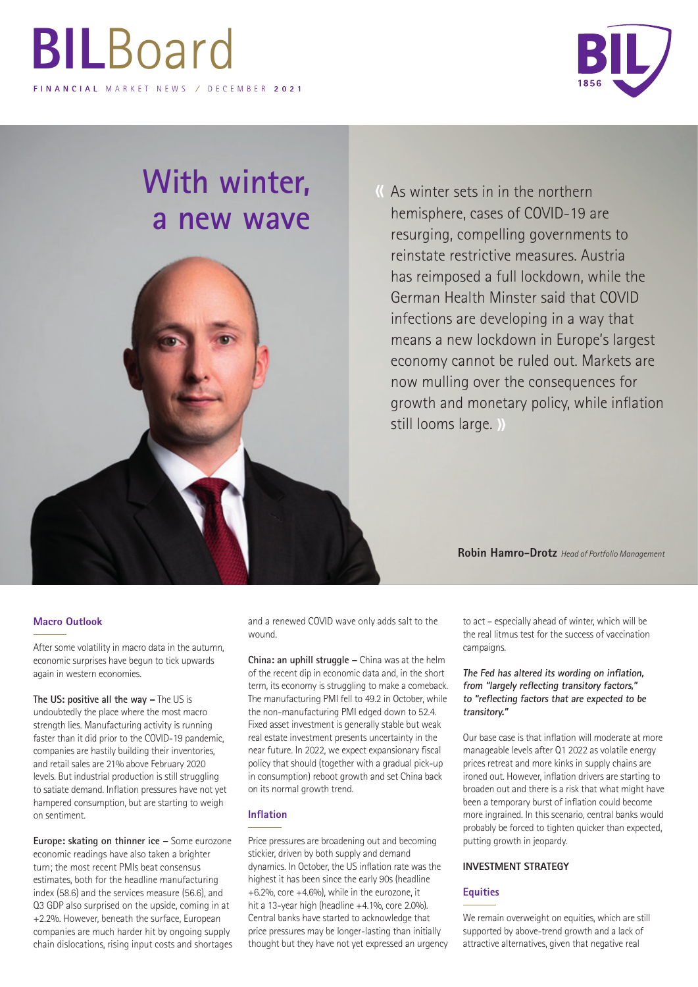

# **With winter, a new wave**



K As winter sets in in the northern hemisphere, cases of COVID-19 are resurging, compelling governments to reinstate restrictive measures. Austria has reimposed a full lockdown, while the German Health Minster said that COVID infections are developing in a way that means a new lockdown in Europe's largest economy cannot be ruled out. Markets are now mulling over the consequences for growth and monetary policy, while inflation still looms large. »

**Robin Hamro-Drotz** *Head of Portfolio Management*

### **Macro Outlook**

After some volatility in macro data in the autumn, economic surprises have begun to tick upwards again in western economies.

**The US: positive all the way –** The US is undoubtedly the place where the most macro strength lies. Manufacturing activity is running faster than it did prior to the COVID-19 pandemic, companies are hastily building their inventories, and retail sales are 21% above February 2020 levels. But industrial production is still struggling to satiate demand. Inflation pressures have not yet hampered consumption, but are starting to weigh on sentiment.

**Europe: skating on thinner ice –** Some eurozone economic readings have also taken a brighter turn; the most recent PMIs beat consensus estimates, both for the headline manufacturing index (58.6) and the services measure (56.6), and Q3 GDP also surprised on the upside, coming in at +2.2%. However, beneath the surface, European companies are much harder hit by ongoing supply chain dislocations, rising input costs and shortages and a renewed COVID wave only adds salt to the wound.

**China: an uphill struggle –** China was at the helm of the recent dip in economic data and, in the short term, its economy is struggling to make a comeback. The manufacturing PMI fell to 49.2 in October, while the non-manufacturing PMI edged down to 52.4. Fixed asset investment is generally stable but weak real estate investment presents uncertainty in the near future. In 2022, we expect expansionary fiscal policy that should (together with a gradual pick-up in consumption) reboot growth and set China back on its normal growth trend.

### **Inflation**

Price pressures are broadening out and becoming stickier, driven by both supply and demand dynamics. In October, the US inflation rate was the highest it has been since the early 90s (headline +6.2%, core +4.6%), while in the eurozone, it hit a 13-year high (headline +4.1%, core 2.0%). Central banks have started to acknowledge that price pressures may be longer-lasting than initially thought but they have not yet expressed an urgency to act – especially ahead of winter, which will be the real litmus test for the success of vaccination campaigns.

### **The Fed has altered its wording on inflation, from "largely reflecting transitory factors," to "reflecting factors that are expected to be transitory."**

Our base case is that inflation will moderate at more manageable levels after Q1 2022 as volatile energy prices retreat and more kinks in supply chains are ironed out. However, inflation drivers are starting to broaden out and there is a risk that what might have been a temporary burst of inflation could become more ingrained. In this scenario, central banks would probably be forced to tighten quicker than expected, putting growth in jeopardy.

### **INVESTMENT STRATEGY**

### **Equities**

We remain overweight on equities, which are still supported by above-trend growth and a lack of attractive alternatives, given that negative real